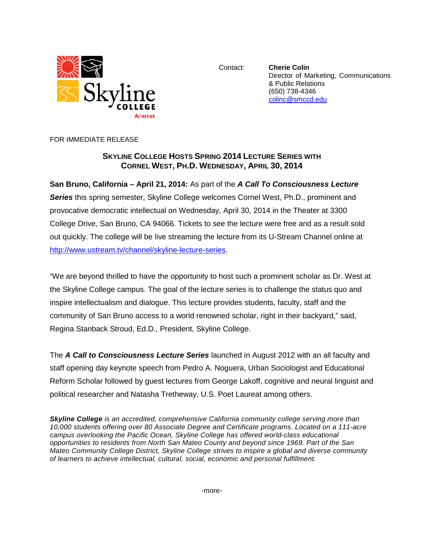

Contact: **Cherie Colin** Director of Marketing, Communications & Public Relations (650) 738-4346 [colinc@smccd.edu](mailto:colinc@smccd.edu)

FOR IMMEDIATE RELEASE

## **SKYLINE COLLEGE HOSTS SPRING 2014 LECTURE SERIES WITH CORNEL WEST, PH.D. WEDNESDAY, APRIL 30, 2014**

## **San Bruno, California – April 21, 2014:** As part of the *A Call To Consciousness Lecture*

*Series* this spring semester, Skyline College welcomes Cornel West, Ph.D., prominent and provocative democratic intellectual on Wednesday, April 30, 2014 in the Theater at 3300 College Drive, San Bruno, CA 94066. Tickets to see the lecture were free and as a result sold out quickly. The college will be live streaming the lecture from its U-Stream Channel online at [http://www.ustream.tv/channel/skyline-lecture-series.](http://www.ustream.tv/channel/skyline-lecture-series)

"We are beyond thrilled to have the opportunity to host such a prominent scholar as Dr. West at the Skyline College campus. The goal of the lecture series is to challenge the status quo and inspire intellectualism and dialogue. This lecture provides students, faculty, staff and the community of San Bruno access to a world renowned scholar, right in their backyard," said, Regina Stanback Stroud, Ed.D., President, Skyline College.

The *A Call to Consciousness Lecture Series* launched in August 2012 with an all faculty and staff opening day keynote speech from Pedro A. Noguera, Urban Sociologist and Educational Reform Scholar followed by guest lectures from George Lakoff, cognitive and neural linguist and political researcher and Natasha Tretheway, U.S. Poet Laureat among others.

*Skyline College is an accredited, comprehensive California community college serving more than 10,000 students offering over 80 Associate Degree and Certificate programs. Located on a 111-acre campus overlooking the Pacific Ocean, Skyline College has offered world-class educational opportunities to residents from North San Mateo County and beyond since 1969. Part of the San Mateo Community College District, Skyline College strives to inspire a global and diverse community of learners to achieve intellectual, cultural, social, economic and personal fulfillment.*